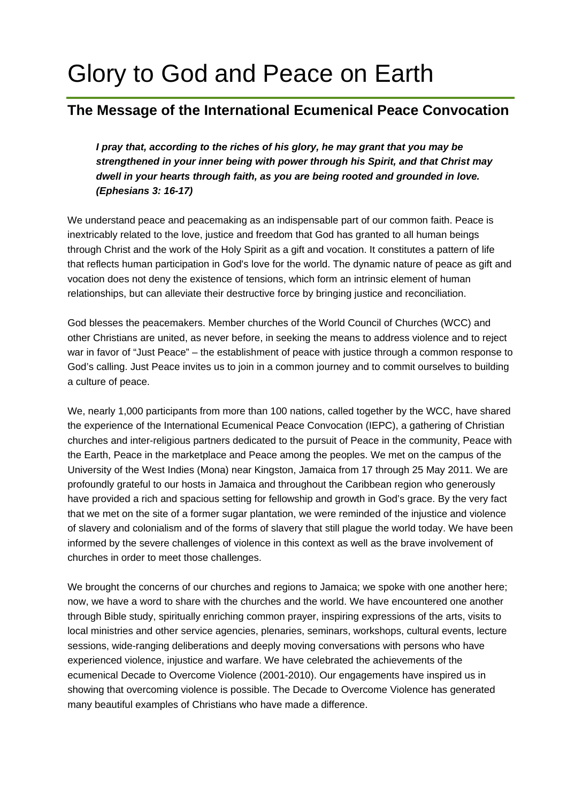# Glory to God and Peace on Earth

## **The Message of the International Ecumenical Peace Convocation**

*I pray that, according to the riches of his glory, he may grant that you may be strengthened in your inner being with power through his Spirit, and that Christ may dwell in your hearts through faith, as you are being rooted and grounded in love. (Ephesians 3: 16-17)* 

We understand peace and peacemaking as an indispensable part of our common faith. Peace is inextricably related to the love, justice and freedom that God has granted to all human beings through Christ and the work of the Holy Spirit as a gift and vocation. It constitutes a pattern of life that reflects human participation in God's love for the world. The dynamic nature of peace as gift and vocation does not deny the existence of tensions, which form an intrinsic element of human relationships, but can alleviate their destructive force by bringing justice and reconciliation.

God blesses the peacemakers. Member churches of the World Council of Churches (WCC) and other Christians are united, as never before, in seeking the means to address violence and to reject war in favor of "Just Peace" – the establishment of peace with justice through a common response to God's calling. Just Peace invites us to join in a common journey and to commit ourselves to building a culture of peace.

We, nearly 1,000 participants from more than 100 nations, called together by the WCC, have shared the experience of the International Ecumenical Peace Convocation (IEPC), a gathering of Christian churches and inter-religious partners dedicated to the pursuit of Peace in the community, Peace with the Earth, Peace in the marketplace and Peace among the peoples. We met on the campus of the University of the West Indies (Mona) near Kingston, Jamaica from 17 through 25 May 2011. We are profoundly grateful to our hosts in Jamaica and throughout the Caribbean region who generously have provided a rich and spacious setting for fellowship and growth in God's grace. By the very fact that we met on the site of a former sugar plantation, we were reminded of the injustice and violence of slavery and colonialism and of the forms of slavery that still plague the world today. We have been informed by the severe challenges of violence in this context as well as the brave involvement of churches in order to meet those challenges.

We brought the concerns of our churches and regions to Jamaica; we spoke with one another here; now, we have a word to share with the churches and the world. We have encountered one another through Bible study, spiritually enriching common prayer, inspiring expressions of the arts, visits to local ministries and other service agencies, plenaries, seminars, workshops, cultural events, lecture sessions, wide-ranging deliberations and deeply moving conversations with persons who have experienced violence, injustice and warfare. We have celebrated the achievements of the ecumenical Decade to Overcome Violence (2001-2010). Our engagements have inspired us in showing that overcoming violence is possible. The Decade to Overcome Violence has generated many beautiful examples of Christians who have made a difference.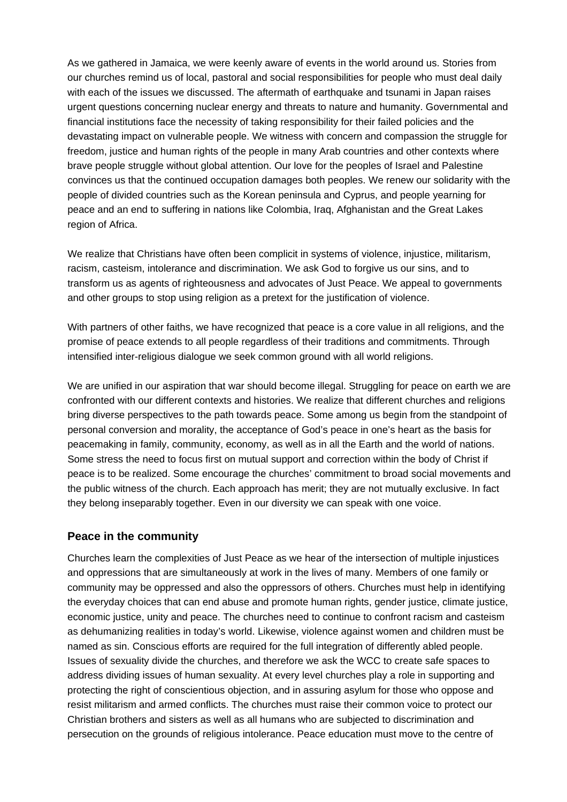As we gathered in Jamaica, we were keenly aware of events in the world around us. Stories from our churches remind us of local, pastoral and social responsibilities for people who must deal daily with each of the issues we discussed. The aftermath of earthquake and tsunami in Japan raises urgent questions concerning nuclear energy and threats to nature and humanity. Governmental and financial institutions face the necessity of taking responsibility for their failed policies and the devastating impact on vulnerable people. We witness with concern and compassion the struggle for freedom, justice and human rights of the people in many Arab countries and other contexts where brave people struggle without global attention. Our love for the peoples of Israel and Palestine convinces us that the continued occupation damages both peoples. We renew our solidarity with the people of divided countries such as the Korean peninsula and Cyprus, and people yearning for peace and an end to suffering in nations like Colombia, Iraq, Afghanistan and the Great Lakes region of Africa.

We realize that Christians have often been complicit in systems of violence, injustice, militarism, racism, casteism, intolerance and discrimination. We ask God to forgive us our sins, and to transform us as agents of righteousness and advocates of Just Peace. We appeal to governments and other groups to stop using religion as a pretext for the justification of violence.

With partners of other faiths, we have recognized that peace is a core value in all religions, and the promise of peace extends to all people regardless of their traditions and commitments. Through intensified inter-religious dialogue we seek common ground with all world religions.

We are unified in our aspiration that war should become illegal. Struggling for peace on earth we are confronted with our different contexts and histories. We realize that different churches and religions bring diverse perspectives to the path towards peace. Some among us begin from the standpoint of personal conversion and morality, the acceptance of God's peace in one's heart as the basis for peacemaking in family, community, economy, as well as in all the Earth and the world of nations. Some stress the need to focus first on mutual support and correction within the body of Christ if peace is to be realized. Some encourage the churches' commitment to broad social movements and the public witness of the church. Each approach has merit; they are not mutually exclusive. In fact they belong inseparably together. Even in our diversity we can speak with one voice.

#### **Peace in the community**

Churches learn the complexities of Just Peace as we hear of the intersection of multiple injustices and oppressions that are simultaneously at work in the lives of many. Members of one family or community may be oppressed and also the oppressors of others. Churches must help in identifying the everyday choices that can end abuse and promote human rights, gender justice, climate justice, economic justice, unity and peace. The churches need to continue to confront racism and casteism as dehumanizing realities in today's world. Likewise, violence against women and children must be named as sin. Conscious efforts are required for the full integration of differently abled people. Issues of sexuality divide the churches, and therefore we ask the WCC to create safe spaces to address dividing issues of human sexuality. At every level churches play a role in supporting and protecting the right of conscientious objection, and in assuring asylum for those who oppose and resist militarism and armed conflicts. The churches must raise their common voice to protect our Christian brothers and sisters as well as all humans who are subjected to discrimination and persecution on the grounds of religious intolerance. Peace education must move to the centre of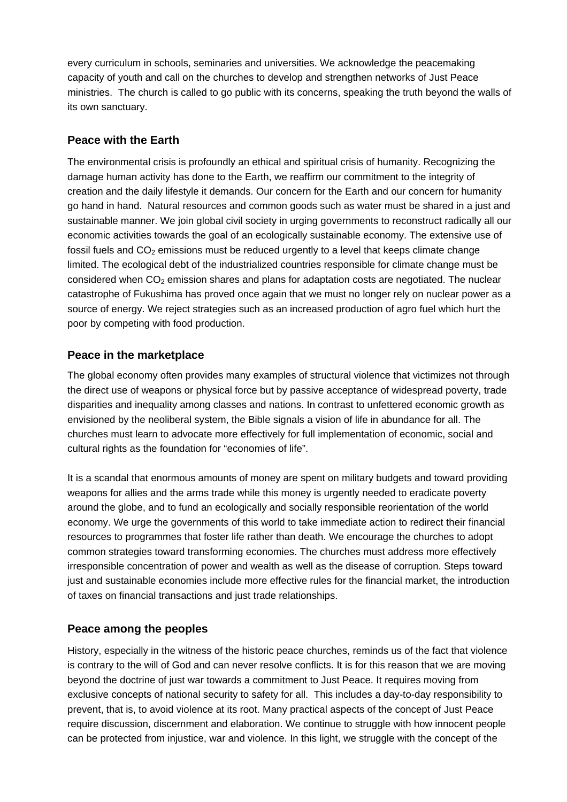every curriculum in schools, seminaries and universities. We acknowledge the peacemaking capacity of youth and call on the churches to develop and strengthen networks of Just Peace ministries. The church is called to go public with its concerns, speaking the truth beyond the walls of its own sanctuary.

#### **Peace with the Earth**

The environmental crisis is profoundly an ethical and spiritual crisis of humanity. Recognizing the damage human activity has done to the Earth, we reaffirm our commitment to the integrity of creation and the daily lifestyle it demands. Our concern for the Earth and our concern for humanity go hand in hand. Natural resources and common goods such as water must be shared in a just and sustainable manner. We join global civil society in urging governments to reconstruct radically all our economic activities towards the goal of an ecologically sustainable economy. The extensive use of fossil fuels and  $CO<sub>2</sub>$  emissions must be reduced urgently to a level that keeps climate change limited. The ecological debt of the industrialized countries responsible for climate change must be considered when  $CO<sub>2</sub>$  emission shares and plans for adaptation costs are negotiated. The nuclear catastrophe of Fukushima has proved once again that we must no longer rely on nuclear power as a source of energy. We reject strategies such as an increased production of agro fuel which hurt the poor by competing with food production.

#### **Peace in the marketplace**

The global economy often provides many examples of structural violence that victimizes not through the direct use of weapons or physical force but by passive acceptance of widespread poverty, trade disparities and inequality among classes and nations. In contrast to unfettered economic growth as envisioned by the neoliberal system, the Bible signals a vision of life in abundance for all. The churches must learn to advocate more effectively for full implementation of economic, social and cultural rights as the foundation for "economies of life".

It is a scandal that enormous amounts of money are spent on military budgets and toward providing weapons for allies and the arms trade while this money is urgently needed to eradicate poverty around the globe, and to fund an ecologically and socially responsible reorientation of the world economy. We urge the governments of this world to take immediate action to redirect their financial resources to programmes that foster life rather than death. We encourage the churches to adopt common strategies toward transforming economies. The churches must address more effectively irresponsible concentration of power and wealth as well as the disease of corruption. Steps toward just and sustainable economies include more effective rules for the financial market, the introduction of taxes on financial transactions and just trade relationships.

### **Peace among the peoples**

History, especially in the witness of the historic peace churches, reminds us of the fact that violence is contrary to the will of God and can never resolve conflicts. It is for this reason that we are moving beyond the doctrine of just war towards a commitment to Just Peace. It requires moving from exclusive concepts of national security to safety for all. This includes a day-to-day responsibility to prevent, that is, to avoid violence at its root. Many practical aspects of the concept of Just Peace require discussion, discernment and elaboration. We continue to struggle with how innocent people can be protected from injustice, war and violence. In this light, we struggle with the concept of the